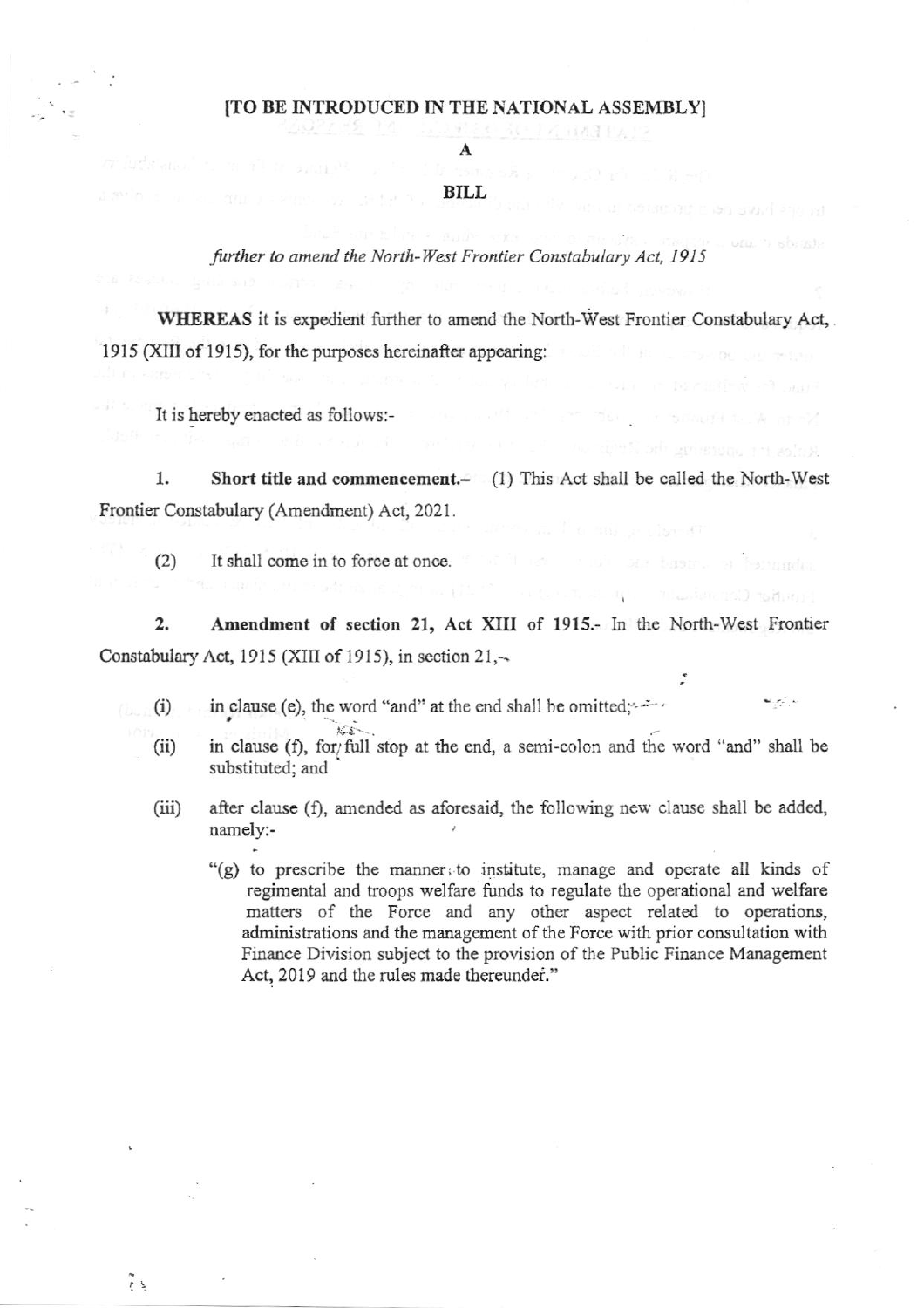### [TO BE INTRODUCED IN THE NATIONAL ASSEMBLY]

A

#### **BILL**

further to amend the North-West Frontier Constabulary Act, 1915

WHEREAS it is expedient further to amend the North-West Frontier Constabulary Act, 1915 (XIII of 1915), for the purposes hereinafter appearing:

It is hereby enacted as follows:-

Short title and commencement.- (1) This Act shall be called the North-West 1. Frontier Constabulary (Amendment) Act, 2021.

It shall come in to force at once.  $(2)$ 

 $\overline{2}$ . Amendment of section 21, Act XIII of 1915.- In the North-West Frontier Constabulary Act, 1915 (XIII of 1915), in section 21,-

in clause (e), the word "and" at the end shall be omitted;  $(i)$ 

 $t's$ .

- in clause (f), for/full stop at the end, a semi-colon and the word "and" shall be  $(ii)$ substituted; and
- $(iii)$ after clause (f), amended as aforesaid, the following new clause shall be added, namely:-

"(g) to prescribe the manner to institute, manage and operate all kinds of regimental and troops welfare funds to regulate the operational and welfare matters of the Force and any other aspect related to operations, administrations and the management of the Force with prior consultation with Finance Division subject to the provision of the Public Finance Management Act, 2019 and the rules made thereunder."

 $\frac{1}{2}$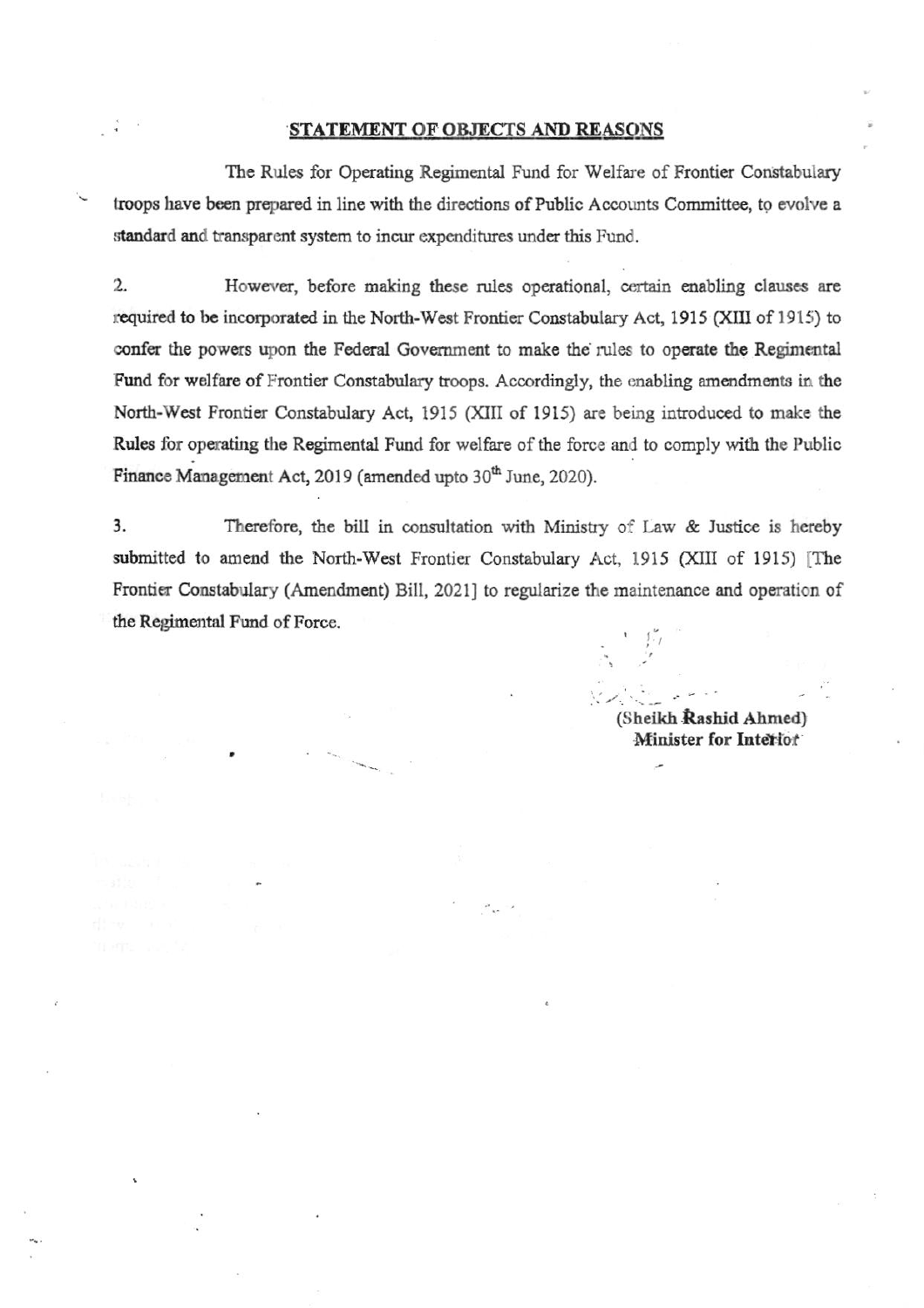#### STATEMENT OF OBJECTS AND REASONS

The Rules for Operating Regimental Fund for Welfare of Frontier Constabulary troops have been prepared in line with the directions of Public Accounts Committee, to evolve a standard and transparent system to incur expenditures under this Fund.

 $2.$ However, before making these rules operational, certain enabling clauses are required to be incorporated in the North-West Frontier Constabulary Act, 1915 (XIII of 1915) to confer the powers upon the Federal Government to make the rules to operate the Regimental Fund for welfare of Frontier Constabulary troops. Accordingly, the enabling amendments in the North-West Frontier Constabulary Act, 1915 (XIII of 1915) are being introduced to make the Rules for operating the Regimental Fund for welfare of the force and to comply with the Public Finance Management Act, 2019 (amended upto 30<sup>th</sup> June, 2020).

3. Therefore, the bill in consultation with Ministry of Law & Justice is hereby submitted to amend the North-West Frontier Constabulary Act, 1915 (XIII of 1915) [The Frontier Constabulary (Amendment) Bill, 2021] to regularize the maintenance and operation of the Regimental Fund of Force.

(Sheikh Rashid Ahmed) Minister for Interior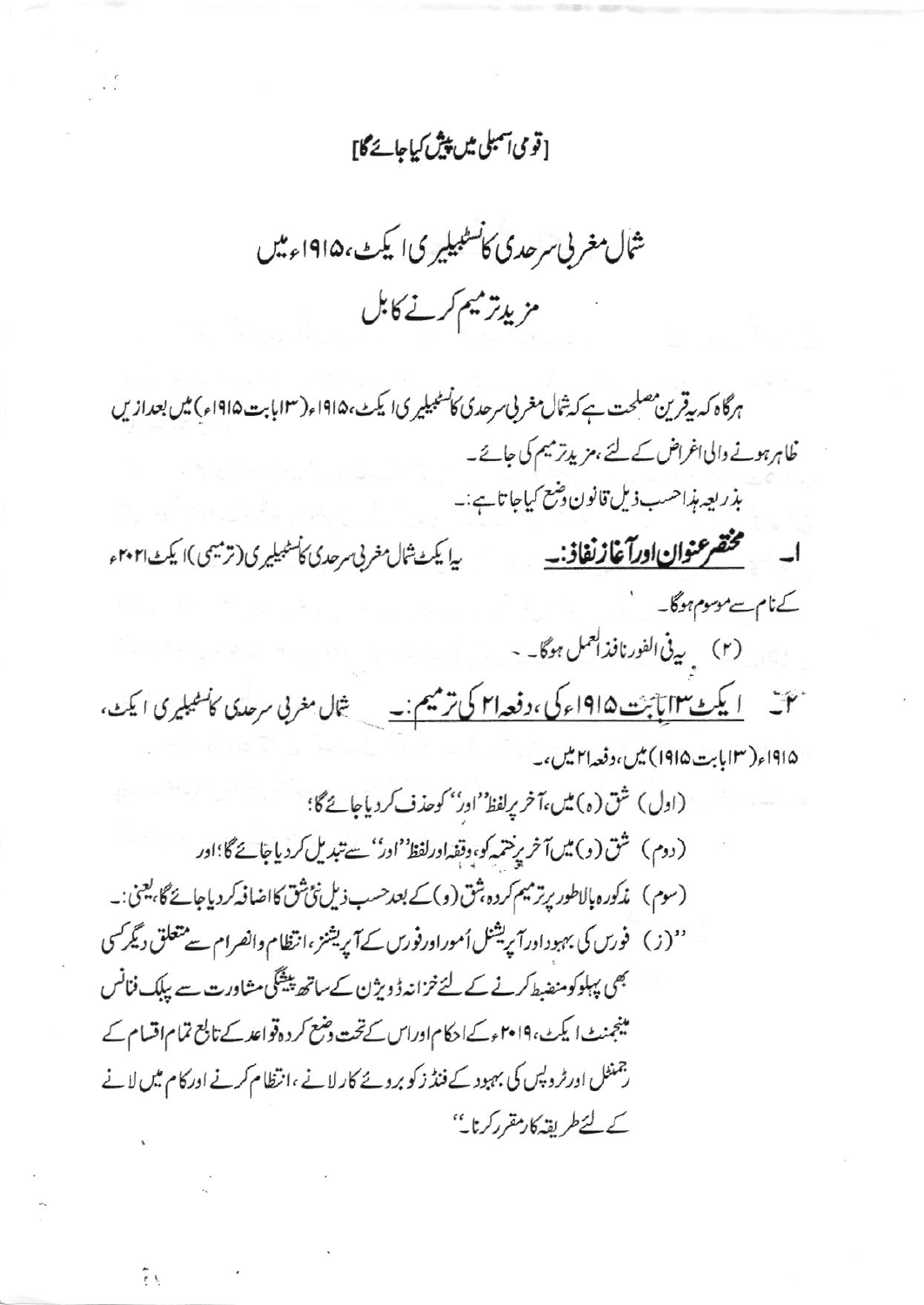## [قومی آمبلی میں پیش کیاجائےگا]

شمال مغربی سرحدی کانسٹبیلیری ایکٹ،۱۹۱۵ءمیں مزيدتر ميم كرنے كابل

ہرگاہ کہ بیقرین مصلحت ہے کہ ثال مغربی سرحدی کاسٹبیلیری ایکٹ، ۱۹۱۵ء(۱۲ بابت ۱۹۱۵ء) میں بعدازیں خاہرہونے والی اغراض کے لئے ، مزیدتر میم کی جائے۔ بذريعه مذاحسب ذيل قانون و*شع كي*اجاتا ہے:۔ ا- متخضر عنوان اورآغاز نفاذ:۔ بیا یکٹ ثال مغربی سرحدی کامٹیلیری(ترمیمی)ا یکٹ ۲۰۲۱ء کےنام سے موسوم ہوگا۔ (٢) يدفى الفورنافذ العمل ہوگا۔ -میں ایک میں ایک میں 1912ء کی، دفعہ <mark>۲۱ کی ترمیم :۔</mark> \_ شال مغربی سرحدی کالمعیلیری ایکٹ، ۱۹۱۵ء(۱۲ بابت ۱۹۱۵) میں،دفعہ ا۲ میں،۔ (اول) شق (ه) مين،آخر پرلفظ' اور'' كوحذف كردياجائےگا؛ (دوم) شق(و)میں آخر پرختمہ کو،وقفہ اورلفظ''ادر''سے تبدیل کردیاجائے گا؛اور (سوم) مذكوره بالاطور برترميم كرده بثق (و)كے بعد حسب ذيل نئ شق كااضافہ كردياجائے گا، يعنى:۔ ''(ز) فورس کی بہبوداورآپریشنل اُموراورفورس کے آپریشنز ،انتظام وانصرام سے متعلق دیگر کسی بھی پہلوکومنضبط کرنے کے لئے خزانہ ڈویژن کے ساتھ پیشگی مشاورت سے پیلک فنانس مینجنٹ ایکٹ، ۲۰۱۹ءکےا حکام اوراس کے تحت دہنمح کر دہ قواعد کے تابع تمام اقسام کے رجمنٹل اورٹر دیس کی بہبود کے فنڈ زکو بروۓ کارلانے ،انتظام کرنے اورکام میں لانے کے لئےطریقہ کارمقرر کرنا۔''

ξţ